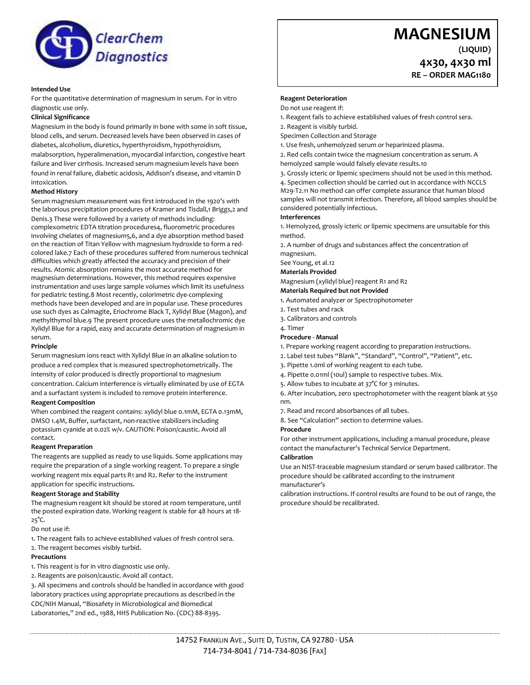

## **Intended Use**

For the quantitative determination of magnesium in serum. For in vitro diagnostic use only.

#### **Clinical Significance**

Magnesium in the body is found primarily in bone with some in soft tissue, blood cells, and serum. Decreased levels have been observed in cases of diabetes, alcoholism, diuretics, hyperthyroidism, hypothyroidism, malabsorption, hyperalimenation, myocardial infarction, congestive heart failure and liver cirrhosis. Increased serum magnesium levels have been found in renal failure, diabetic acidosis, Addison's disease, and vitamin D intoxication.

#### **Method History**

Serum magnesium measurement was first introduced in the 1920's with the laborious precipitation procedures of Kramer and Tisdall,1 Briggs,2 and Denis.3 These were followed by a variety of methods including: complexometric EDTA titration procedures4, fluorometric procedures involving chelates of magnesium5,6, and a dye absorption method based on the reaction of Titan Yellow with magnesium hydroxide to form a redcolored lake.7 Each of these procedures suffered from numerous technical difficulties which greatly affected the accuracy and precision of their results. Atomic absorption remains the most accurate method for magnesium determinations. However, this method requires expensive instrumentation and uses large sample volumes which limit its usefulness for pediatric testing.8 Most recently, colorimetric dye-complexing methods have been developed and are in popular use. These procedures use such dyes as Calmagite, Eriochrome Black T, Xylidyl Blue (Magon), and methylthymol blue.9 The present procedure uses the metallochromic dye Xylidyl Blue for a rapid, easy and accurate determination of magnesium in serum.

#### **Principle**

Serum magnesium ions react with Xylidyl Blue in an alkaline solution to produce a red complex that is measured spectrophotometrically. The intensity of color produced is directly proportional to magnesium concentration. Calcium interference is virtually eliminated by use of EGTA and a surfactant system is included to remove protein interference.

### **Reagent Composition**

When combined the reagent contains: xylidyl blue 0.1mM, EGTA 0.13mM, DMSO 1.4M, Buffer, surfactant, non-reactive stabilizers including potassium cyanide at 0.02% w/v. CAUTION: Poison/caustic. Avoid all contact.

#### **Reagent Preparation**

The reagents are supplied as ready to use liquids. Some applications may require the preparation of a single working reagent. To prepare a single working reagent mix equal parts R1 and R2. Refer to the instrument application for specific instructions.

#### **Reagent Storage and Stability**

The magnesium reagent kit should be stored at room temperature, until the posted expiration date. Working reagent is stable for 48 hours at 18- 25°C.

Do not use if:

- 1. The reagent fails to achieve established values of fresh control sera.
- 2. The reagent becomes visibly turbid.

#### **Precautions**

- 1. This reagent is for in vitro diagnostic use only.
- 2. Reagents are poison/caustic. Avoid all contact.

3. All specimens and controls should be handled in accordance with good laboratory practices using appropriate precautions as described in the CDC/NIH Manual, "Biosafety in Microbiological and Biomedical Laboratories," 2nd ed., 1988, HHS Publication No. (CDC) 88-8395.

# **MAGNESIUM**

**(LIQUID) 4x30, 4x30 ml**

**RE – ORDER MAG1180**

# **Reagent Deterioration**

- Do not use reagent if:
- 1. Reagent fails to achieve established values of fresh control sera.
- 2. Reagent is visibly turbid.
- Specimen Collection and Storage
- 1. Use fresh, unhemolyzed serum or heparinized plasma.

2. Red cells contain twice the magnesium concentration as serum. A hemolyzed sample would falsely elevate results.10

3. Grossly icteric or lipemic specimens should not be used in this method.

4. Specimen collection should be carried out in accordance with NCCLS M29-T2.11 No method can offer complete assurance that human blood samples will not transmit infection. Therefore, all blood samples should be considered potentially infectious.

#### **Interferences**

1. Hemolyzed, grossly icteric or lipemic specimens are unsuitable for this method.

2. A number of drugs and substances affect the concentration of magnesium.

See Young, et al.12

**Materials Provided**

Magnesium (xylidyl blue) reagent R1 and R2

#### **Materials Required but not Provided**

- 1. Automated analyzer or Spectrophotometer
- 2. Test tubes and rack
- 3. Calibrators and controls
- 4. Timer

#### **Procedure - Manual**

- 1. Prepare working reagent according to preparation instructions.
- 2. Label test tubes "Blank", "Standard", "Control", "Patient", etc.
- 3. Pipette 1.0ml of working reagent to each tube.
- 4. Pipette 0.01ml (10ul) sample to respective tubes. Mix.
- 5. Allow tubes to incubate at 37°C for 3 minutes.

6. After incubation, zero spectrophotometer with the reagent blank at 550 nm.

7. Read and record absorbances of all tubes.

8. See "Calculation" section to determine values.

#### **Procedure**

For other instrument applications, including a manual procedure, please contact the manufacturer's Technical Service Department.

#### **Calibration**

Use an NIST-traceable magnesium standard or serum based calibrator. The procedure should be calibrated according to the instrument manufacturer's

calibration instructions. If control results are found to be out of range, the procedure should be recalibrated.